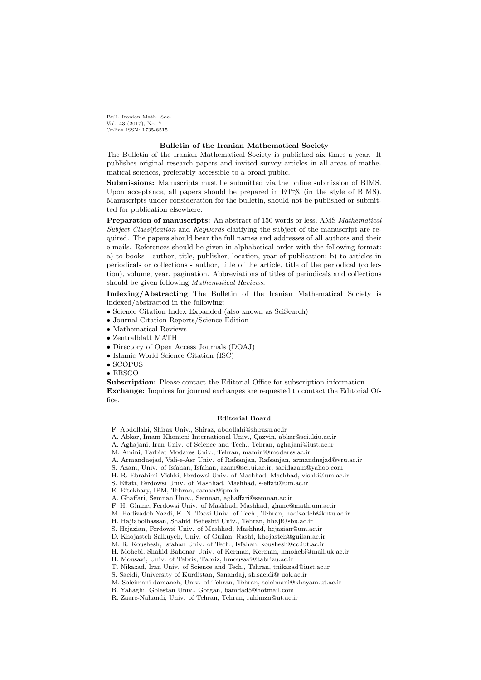Bull. Iranian Math. Soc. Vol. 43 (2017), No. 7 Online ISSN: 1735-8515

## Bulletin of the Iranian Mathematical Society

The Bulletin of the Iranian Mathematical Society is published six times a year. It publishes original research papers and invited survey articles in all areas of mathematical sciences, preferably accessible to a broad public.

Submissions: Manuscripts must be submitted via the online submission of BIMS. Upon acceptance, all papers should be prepared in LAT<sub>EX</sub> (in the style of BIMS). Manuscripts under consideration for the bulletin, should not be published or submitted for publication elsewhere.

Preparation of manuscripts: An abstract of 150 words or less, AMS Mathematical Subject Classification and Keywords clarifying the subject of the manuscript are required. The papers should bear the full names and addresses of all authors and their e-mails. References should be given in alphabetical order with the following format: a) to books - author, title, publisher, location, year of publication; b) to articles in periodicals or collections - author, title of the article, title of the periodical (collection), volume, year, pagination. Abbreviations of titles of periodicals and collections should be given following Mathematical Reviews.

Indexing/Abstracting The Bulletin of the Iranian Mathematical Society is indexed/abstracted in the following:

- Science Citation Index Expanded (also known as SciSearch)
- Journal Citation Reports/Science Edition
- Mathematical Reviews
- Zentralblatt MATH
- Directory of Open Access Journals (DOAJ)
- Islamic World Science Citation (ISC)
- SCOPUS
- EBSCO

Subscription: Please contact the Editorial Office for subscription information. Exchange: Inquires for journal exchanges are requested to contact the Editorial Office.

## Editorial Board

- A. Armandnejad, Vali-e-Asr Univ. of Rafsanjan, Rafsanjan, armandnejad@vru.ac.ir
- S. Azam, Univ. of Isfahan, Isfahan, azam@sci.ui.ac.ir, saeidazam@yahoo.com
- H. R. Ebrahimi Vishki, Ferdowsi Univ. of Mashhad, Mashhad, vishki@um.ac.ir
- S. Effati, Ferdowsi Univ. of Mashhad, Mashhad, s-effati@um.ac.ir
- E. Eftekhary, IPM, Tehran, eaman@ipm.ir

F. Abdollahi, Shiraz Univ., Shiraz, abdollahi@shirazu.ac.ir

A. Abkar, Imam Khomeni International Univ., Qazvin, abkar@sci.ikiu.ac.ir

A. Aghajani, Iran Univ. of Science and Tech., Tehran, aghajani@iust.ac.ir

M. Amini, Tarbiat Modares Univ., Tehran, mamini@modares.ac.ir

A. Ghaffari, Semnan Univ., Semnan, aghaffari@semnan.ac.ir

F. H. Ghane, Ferdowsi Univ. of Mashhad, Mashhad, ghane@math.um.ac.ir

M. Hadizadeh Yazdi, K. N. Toosi Univ. of Tech., Tehran, hadizadeh@kntu.ac.ir

H. Hajiabolhassan, Shahid Beheshti Univ., Tehran, hhaji@sbu.ac.ir

S. Hejazian, Ferdowsi Univ. of Mashhad, Mashhad, hejazian@um.ac.ir

D. Khojasteh Salkuyeh, Univ. of Guilan, Rasht, khojasteh@guilan.ac.ir

M. R. Koushesh, Isfahan Univ. of Tech., Isfahan, koushesh@cc.iut.ac.ir

H. Mohebi, Shahid Bahonar Univ. of Kerman, Kerman, hmohebi@mail.uk.ac.ir

H. Mousavi, Univ. of Tabriz, Tabriz, hmousavi@tabrizu.ac.ir

T. Nikazad, Iran Univ. of Science and Tech., Tehran, tnikazad@iust.ac.ir

S. Saeidi, University of Kurdistan, Sanandaj, sh.saeidi@ uok.ac.ir

M. Soleimani-damaneh, Univ. of Tehran, Tehran, soleimani@khayam.ut.ac.ir

B. Yahaghi, Golestan Univ., Gorgan, bamdad5@hotmail.com

R. Zaare-Nahandi, Univ. of Tehran, Tehran, rahimzn@ut.ac.ir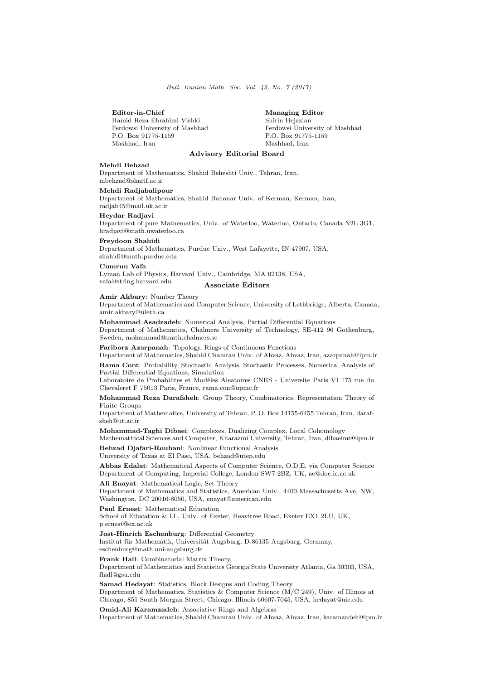Bull. Iranian Math. Soc. Vol. 43, No. 7 (2017)

#### Editor-in-Chief Managing Editor

Hamid Reza Ebrahimi Vishki Shirin Hejazian Ferdowsi University of Mashhad Ferdowsi University of Mashhad F.O. Box 91775-1159 Mashhad, Iran

P.O. Box 91775-1159<br>Mashhad. Iran

# Advisory Editorial Board

### Mehdi Behzad

Department of Mathematics, Shahid Beheshti Univ., Tehran, Iran, mbehzad@sharif.ac.ir

#### Mehdi Radjabalipour

Department of Mathematics, Shahid Bahonar Univ. of Kerman, Kerman, Iran, radjab45@mail.uk.ac.ir

### Heydar Radjavi

Department of pure Mathematics, Univ. of Waterloo, Waterloo, Ontario, Canada N2L 3G1, hradjavi@math.uwaterloo.ca

## Freydoon Shahidi

Department of Mathematics, Purdue Univ., West Lafayette, IN 47907, USA, shahidi@math.purdue.edu

### Cumrun Vafa

Lyman Lab of Physics, Harvard Univ., Cambridge, MA 02138, USA, vafa@string.harvard.edu Associate Editors

#### Amir Akbary: Number Theory

Department of Mathematics and Computer Science, University of Lethbridge, Alberta, Canada, amir.akbary@uleth.ca

Mohammad Asadzadeh: Numerical Analysis, Partial Differential Equations Department of Mathematics, Chalmers University of Technology, SE-412 96 Gothenburg, Sweden, mohammad@math.chalmers.se

Fariborz Azarpanah: Topology, Rings of Continuous Functions

Department of Mathematics, Shahid Chamran Univ. of Ahvaz, Ahvaz, Iran, azarpanah@ipm.ir Rama Cont: Probability, Stochastic Analysis, Stochastic Processes, Numerical Analysis of Partial Differential Equations, Simulation

Laboratoire de Probabilites et Modèles Aleatoires CNRS - Universite Paris VI 175 rue du Chevaleret F 75013 Paris, France, rama.con@upmc.fr

Mohammad Reza Darafsheh: Group Theory, Combinatorics, Representation Theory of Finite Groups

Department of Mathematics, University of Tehran, P. O. Box 14155-6455 Tehran, Iran, darafsheh@ut.ac.ir

Mohammad-Taghi Dibaei: Complexes, Dualizing Complex, Local Cohomology

Mathemathical Sciences and Computer, Kharazmi University, Tehran, Iran, dibaeimt@ipm.ir Behzad Djafari-Rouhani: Nonlinear Functional Analysis

University of Texas at El Paso, USA, behzad@utep.edu

Abbas Edalat: Mathematical Aspects of Computer Science, O.D.E. via Computer Science Department of Computing, Imperial College, London SW7 2BZ, UK, ae@doc.ic.ac.uk

Ali Enayat: Mathematical Logic, Set Theory

Department of Mathematics and Statistics, American Univ., 4400 Massachusetts Ave, NW, Washington, DC 20016-8050, USA, enayat@american.edu

Paul Ernest: Mathematical Education

School of Education & LL, Univ. of Exeter, Heavitree Road, Exeter EX1 2LU, UK, p.ernest@ex.ac.uk

Jost-Hinrich Eschenburg: Differential Geometry

Institut für Mathematik, Universität Augsburg, D-86135 Augsburg, Germany, eschenburg@math.uni-augsburg.de

Frank Hall: Combinatorial Matrix Theory, Department of Mathematics and Statistics Georgia State University Atlanta, Ga 30303, USA, fhall@gsu.edu

Samad Hedayat: Statistics, Block Designs and Coding Theory Department of Mathematics, Statistics & Computer Science (M/C 249), Univ. of Illinois at Chicago, 851 South Morgan Street, Chicago, Illinois 60607-7045, USA, hedayat@uic.edu

Omid-Ali Karamzadeh: Associative Rings and Algebras

Department of Mathematics, Shahid Chamran Univ. of Ahvaz, Ahvaz, Iran, karamzadeh@ipm.ir